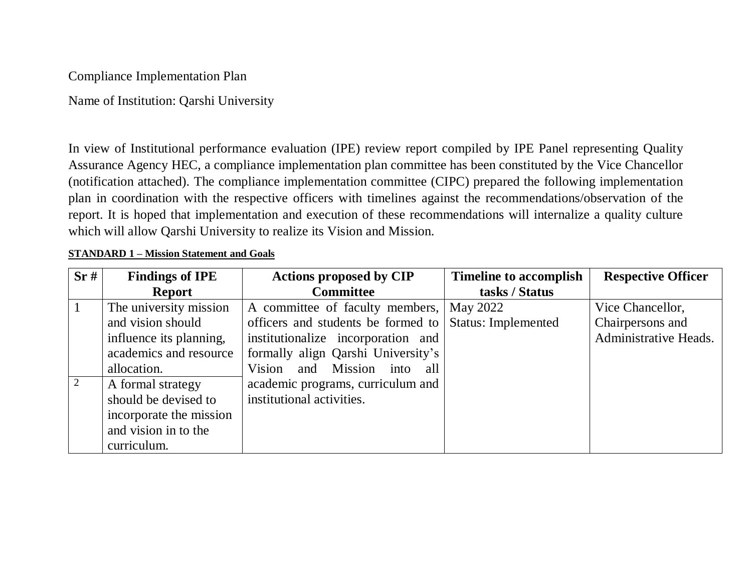Compliance Implementation Plan

Name of Institution: Qarshi University

In view of Institutional performance evaluation (IPE) review report compiled by IPE Panel representing Quality Assurance Agency HEC, a compliance implementation plan committee has been constituted by the Vice Chancellor (notification attached). The compliance implementation committee (CIPC) prepared the following implementation plan in coordination with the respective officers with timelines against the recommendations/observation of the report. It is hoped that implementation and execution of these recommendations will internalize a quality culture which will allow Qarshi University to realize its Vision and Mission.

| Sr#          | <b>Findings of IPE</b>  | <b>Actions proposed by CIP</b>     | <b>Timeline to accomplish</b> | <b>Respective Officer</b> |
|--------------|-------------------------|------------------------------------|-------------------------------|---------------------------|
|              | <b>Report</b>           | <b>Committee</b>                   | tasks / Status                |                           |
| $\mathbf{1}$ | The university mission  | A committee of faculty members,    | May 2022                      | Vice Chancellor,          |
|              | and vision should       | officers and students be formed to | <b>Status: Implemented</b>    | Chairpersons and          |
|              | influence its planning, | institutionalize incorporation and |                               | Administrative Heads.     |
|              | academics and resource  | formally align Qarshi University's |                               |                           |
|              | allocation.             | Vision and Mission into all        |                               |                           |
| 2            | A formal strategy       | academic programs, curriculum and  |                               |                           |
|              | should be devised to    | institutional activities.          |                               |                           |
|              | incorporate the mission |                                    |                               |                           |
|              | and vision in to the    |                                    |                               |                           |
|              | curriculum.             |                                    |                               |                           |

#### **STANDARD 1 – Mission Statement and Goals**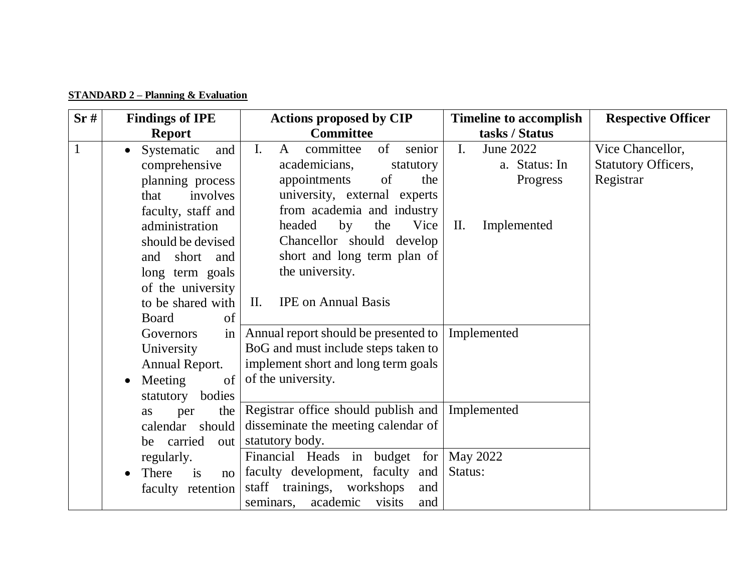|  | <b>STANDARD 2 – Planning &amp; Evaluation</b> |
|--|-----------------------------------------------|
|  |                                               |

| Sr#          | <b>Findings of IPE</b>         | <b>Actions proposed by CIP</b>                  | <b>Timeline to accomplish</b> | <b>Respective Officer</b>  |
|--------------|--------------------------------|-------------------------------------------------|-------------------------------|----------------------------|
|              | <b>Report</b>                  | <b>Committee</b>                                | tasks / Status                |                            |
| $\mathbf{1}$ | Systematic<br>and<br>$\bullet$ | I.<br>committee<br>of<br>senior<br>$\mathbf{A}$ | $\mathbf{I}$ .<br>June 2022   | Vice Chancellor,           |
|              | comprehensive                  | academicians,<br>statutory                      | a. Status: In                 | <b>Statutory Officers,</b> |
|              | planning process               | appointments<br>of<br>the                       | Progress                      | Registrar                  |
|              | involves<br>that               | university, external experts                    |                               |                            |
|              | faculty, staff and             | from academia and industry                      |                               |                            |
|              | administration                 | headed<br>by<br>the<br>Vice                     | II.<br>Implemented            |                            |
|              | should be devised              | Chancellor should develop                       |                               |                            |
|              | and short and                  | short and long term plan of                     |                               |                            |
|              | long term goals                | the university.                                 |                               |                            |
|              | of the university              |                                                 |                               |                            |
|              | to be shared with              | <b>IPE</b> on Annual Basis<br>$\rm{II}$ .       |                               |                            |
|              | of<br><b>Board</b>             |                                                 |                               |                            |
|              | Governors<br>in                | Annual report should be presented to            | Implemented                   |                            |
|              | University                     | BoG and must include steps taken to             |                               |                            |
|              | Annual Report.                 | implement short and long term goals             |                               |                            |
|              | Meeting<br>of<br>$\bullet$     | of the university.                              |                               |                            |
|              | bodies<br>statutory            |                                                 |                               |                            |
|              | the<br>per<br>as               | Registrar office should publish and             | Implemented                   |                            |
|              | should<br>calendar             | disseminate the meeting calendar of             |                               |                            |
|              | carried<br>be                  | out   statutory body.                           |                               |                            |
|              | regularly.                     | Financial Heads in budget for   May 2022        |                               |                            |
|              | There<br>is<br>no              | faculty development, faculty<br>and             | Status:                       |                            |
|              | faculty retention              | staff<br>trainings,<br>workshops<br>and         |                               |                            |
|              |                                | visits<br>academic<br>seminars,<br>and          |                               |                            |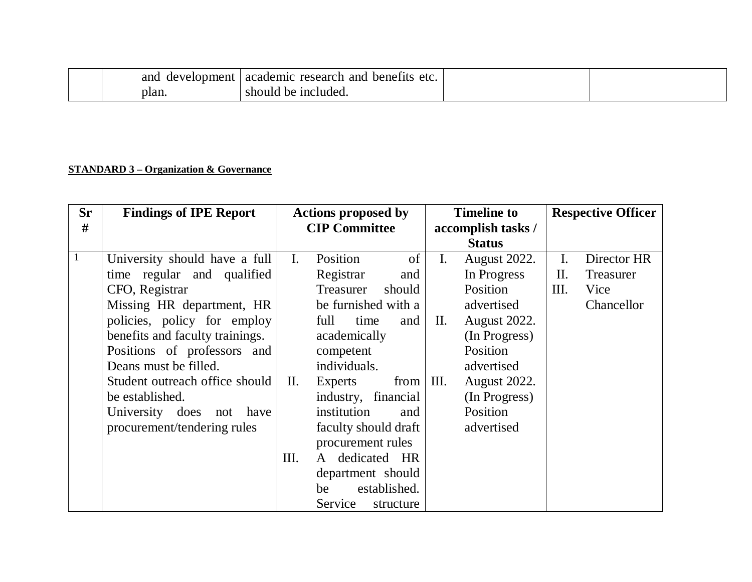|       | and development academic research and<br>benefits<br>etc. |  |
|-------|-----------------------------------------------------------|--|
| plan. | should be included.                                       |  |

### **STANDARD 3 – Organization & Governance**

| <b>Sr</b><br># | <b>Findings of IPE Report</b>                                                                                                                                                                                                                                                                                                                        | <b>Actions proposed by</b><br><b>CIP Committee</b> |                                                                                                                                                                                                                                                                                                                                                                | <b>Timeline to</b><br>accomplish tasks /<br><b>Status</b> |                                                                                                                                                                                                  |                                      | <b>Respective Officer</b>                             |
|----------------|------------------------------------------------------------------------------------------------------------------------------------------------------------------------------------------------------------------------------------------------------------------------------------------------------------------------------------------------------|----------------------------------------------------|----------------------------------------------------------------------------------------------------------------------------------------------------------------------------------------------------------------------------------------------------------------------------------------------------------------------------------------------------------------|-----------------------------------------------------------|--------------------------------------------------------------------------------------------------------------------------------------------------------------------------------------------------|--------------------------------------|-------------------------------------------------------|
| $\mathbf{1}$   | University should have a full<br>time regular and qualified<br>CFO, Registrar<br>Missing HR department, HR<br>policies, policy for employ<br>benefits and faculty trainings.<br>Positions of professors and<br>Deans must be filled.<br>Student outreach office should<br>be established.<br>University does not have<br>procurement/tendering rules | $\mathbf{I}$ .<br>П.<br>Ш.                         | Position<br>of<br>Registrar<br>and<br>Treasurer<br>should<br>be furnished with a<br>full<br>time<br>and<br>academically<br>competent<br>individuals.<br>from III.<br>Experts<br>industry, financial<br>institution<br>and<br>faculty should draft<br>procurement rules<br>dedicated HR<br>A<br>department should<br>established.<br>be<br>Service<br>structure | I.<br>П.                                                  | <b>August 2022.</b><br>In Progress<br>Position<br>advertised<br><b>August 2022.</b><br>(In Progress)<br>Position<br>advertised<br><b>August 2022.</b><br>(In Progress)<br>Position<br>advertised | $\mathbf{I}$ .<br>$\mathbf{I}$<br>Ш. | Director HR<br><b>Treasurer</b><br>Vice<br>Chancellor |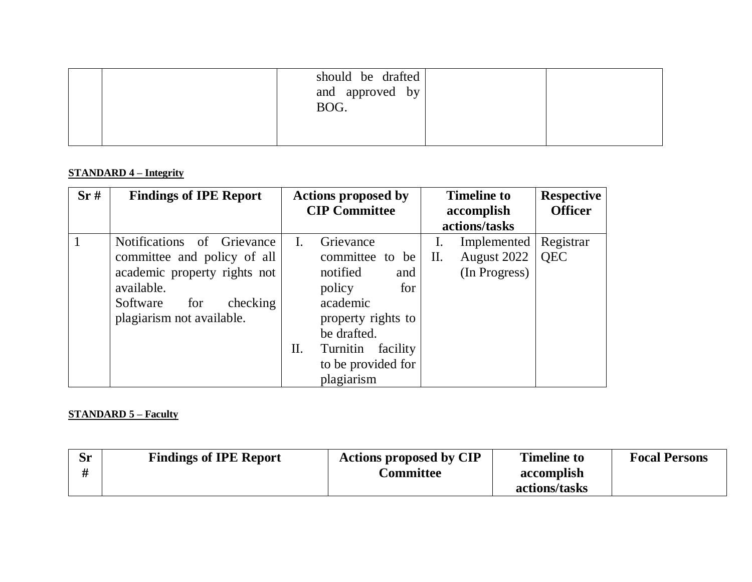| should be drafted<br>and approved by<br>BOG. |  |
|----------------------------------------------|--|
|                                              |  |

#### **STANDARD 4 – Integrity**

| Sr# | <b>Findings of IPE Report</b>                                                                                                                                       | <b>Actions proposed by</b><br><b>CIP Committee</b> |                                                                                                                                                                               | <b>Timeline to</b><br>accomplish<br>actions/tasks |                                             | <b>Respective</b><br><b>Officer</b> |
|-----|---------------------------------------------------------------------------------------------------------------------------------------------------------------------|----------------------------------------------------|-------------------------------------------------------------------------------------------------------------------------------------------------------------------------------|---------------------------------------------------|---------------------------------------------|-------------------------------------|
|     | Notifications of Grievance<br>committee and policy of all<br>academic property rights not<br>available.<br>checking<br>Software<br>for<br>plagiarism not available. | L.<br>П.                                           | Grievance<br>committee to be<br>notified<br>and<br>policy<br>for<br>academic<br>property rights to<br>be drafted.<br>Turnitin<br>facility<br>to be provided for<br>plagiarism | 1.<br>Π.                                          | Implemented<br>August 2022<br>(In Progress) | Registrar<br><b>QEC</b>             |

### **STANDARD 5 – Faculty**

| <b>Sr</b><br>H | <b>Findings of IPE Report</b> | <b>Actions proposed by CIP</b><br><b>Committee</b> | <b>Timeline to</b><br>accomplish | <b>Focal Persons</b> |
|----------------|-------------------------------|----------------------------------------------------|----------------------------------|----------------------|
|                |                               |                                                    | actions/tasks                    |                      |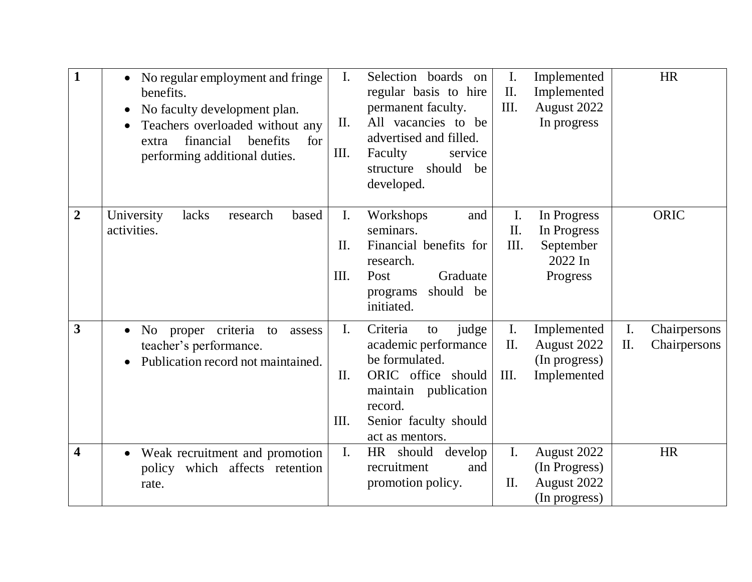|                | No regular employment and fringe<br>benefits.<br>No faculty development plan.<br>$\bullet$<br>Teachers overloaded without any<br>financial<br>benefits<br>for<br>extra<br>performing additional duties. | $\mathbf{I}$ .<br>П.<br>Ш.           | Selection boards on<br>regular basis to hire<br>permanent faculty.<br>All vacancies to be<br>advertised and filled.<br>Faculty<br>service<br>should<br>be<br>structure<br>developed. | I.<br>II.<br>III.     | Implemented<br>Implemented<br>August 2022<br>In progress       |                      | <b>HR</b>                    |
|----------------|---------------------------------------------------------------------------------------------------------------------------------------------------------------------------------------------------------|--------------------------------------|--------------------------------------------------------------------------------------------------------------------------------------------------------------------------------------|-----------------------|----------------------------------------------------------------|----------------------|------------------------------|
| $\overline{2}$ | University<br>lacks<br>research<br>based<br>activities.                                                                                                                                                 | $\mathbf{I}$ .<br>Π.<br>Ш.           | Workshops<br>and<br>seminars.<br>Financial benefits for<br>research.<br>Post<br>Graduate<br>should be<br>programs<br>initiated.                                                      | I.<br>II.<br>Ш.       | In Progress<br>In Progress<br>September<br>2022 In<br>Progress |                      | ORIC                         |
| 3              | No proper criteria<br>to<br>assess<br>teacher's performance.<br>Publication record not maintained.                                                                                                      | $\mathbf{I}$ .<br>$\mathbf{I}$<br>Ш. | Criteria<br>judge<br>to<br>academic performance<br>be formulated.<br>ORIC office should<br>maintain publication<br>record.<br>Senior faculty should<br>act as mentors.               | I.<br>II.<br>Ш.       | Implemented<br>August 2022<br>(In progress)<br>Implemented     | $\mathbf{I}$ .<br>П. | Chairpersons<br>Chairpersons |
| 4              | Weak recruitment and promotion<br>$\bullet$<br>policy which affects retention<br>rate.                                                                                                                  | $\mathbf{I}$ .                       | should<br>develop<br>HR<br>recruitment<br>and<br>promotion policy.                                                                                                                   | $\mathbf{I}$ .<br>II. | August 2022<br>(In Progress)<br>August 2022<br>(In progress)   |                      | <b>HR</b>                    |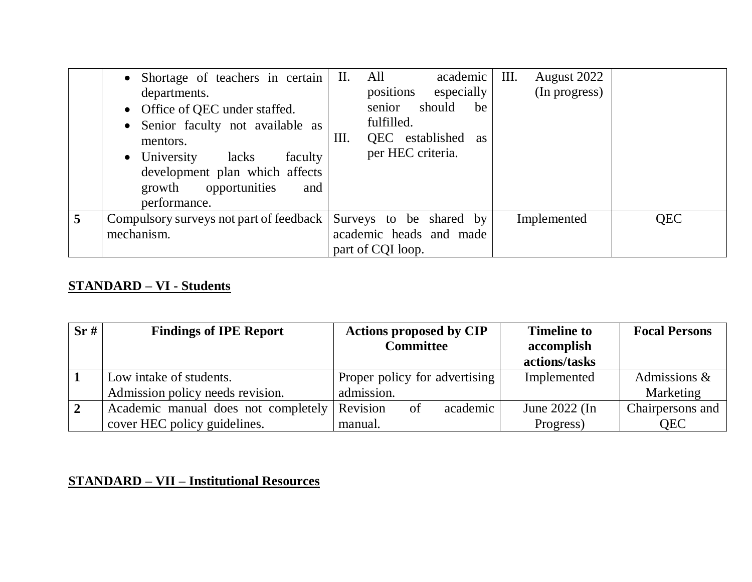| • Shortage of teachers in certain<br>departments.<br>• Office of QEC under staffed.<br>• Senior faculty not available as<br>mentors.<br>$\bullet$ University<br>faculty<br>lacks<br>development plan which affects<br>growth opportunities<br>and<br>performance. | II.<br>Ш. | All<br>positions<br>senior<br>fulfilled.<br>per HEC criteria. | academic<br>especially<br>should<br>QEC established as | be | Ш. | August 2022<br>(In progress) |            |
|-------------------------------------------------------------------------------------------------------------------------------------------------------------------------------------------------------------------------------------------------------------------|-----------|---------------------------------------------------------------|--------------------------------------------------------|----|----|------------------------------|------------|
| Compulsory surveys not part of feedback Surveys to be shared by<br>mechanism.                                                                                                                                                                                     |           | academic heads and made<br>part of CQI loop.                  |                                                        |    |    | Implemented                  | <b>QEC</b> |

### **STANDARD – VI - Students**

| Sr# | <b>Findings of IPE Report</b>       | <b>Actions proposed by CIP</b><br><b>Committee</b> | <b>Timeline to</b><br>accomplish | <b>Focal Persons</b> |
|-----|-------------------------------------|----------------------------------------------------|----------------------------------|----------------------|
|     |                                     |                                                    | actions/tasks                    |                      |
|     | Low intake of students.             | Proper policy for advertising                      | Implemented                      | Admissions &         |
|     | Admission policy needs revision.    | admission.                                         |                                  | Marketing            |
|     | Academic manual does not completely | Revision<br>academic<br><sub>of</sub>              | June $2022$ (In                  | Chairpersons and     |
|     | cover HEC policy guidelines.        | manual.                                            | Progress)                        | <b>OEC</b>           |

# **STANDARD – VII – Institutional Resources**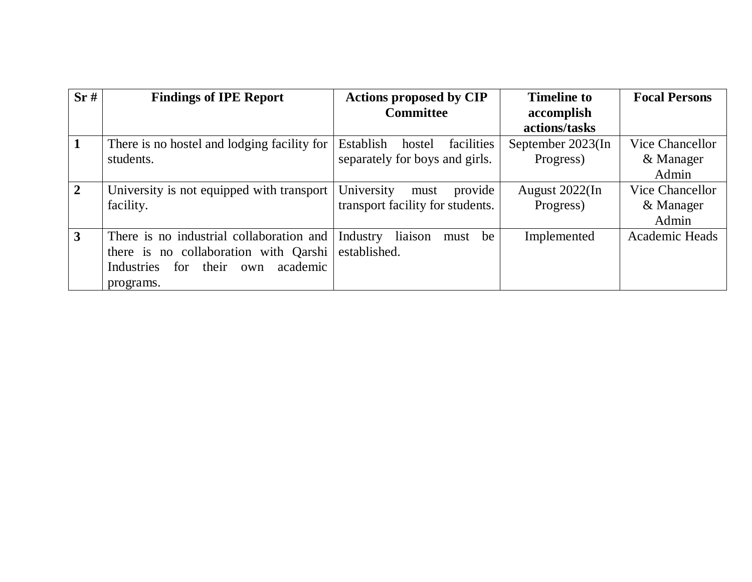| Sr#            | <b>Findings of IPE Report</b>                 | <b>Actions proposed by CIP</b><br><b>Committee</b> | <b>Timeline to</b><br>accomplish | <b>Focal Persons</b>  |
|----------------|-----------------------------------------------|----------------------------------------------------|----------------------------------|-----------------------|
|                |                                               |                                                    | actions/tasks                    |                       |
|                | There is no hostel and lodging facility for   | Establish<br>facilities<br>hostel                  | September 2023(In                | Vice Chancellor       |
|                | students.                                     | separately for boys and girls.                     | Progress)                        | & Manager             |
|                |                                               |                                                    |                                  | Admin                 |
| $\overline{2}$ | University is not equipped with transport     | University<br>provide<br>must                      | August 2022(In                   | Vice Chancellor       |
|                | facility.                                     | transport facility for students.                   | Progress)                        | & Manager             |
|                |                                               |                                                    |                                  | Admin                 |
| 3              | There is no industrial collaboration and      | liaison<br>Industry<br>be<br>must                  | Implemented                      | <b>Academic Heads</b> |
|                | there is no collaboration with Qarshi         | established.                                       |                                  |                       |
|                | academic<br>Industries<br>for<br>their<br>own |                                                    |                                  |                       |
|                | programs.                                     |                                                    |                                  |                       |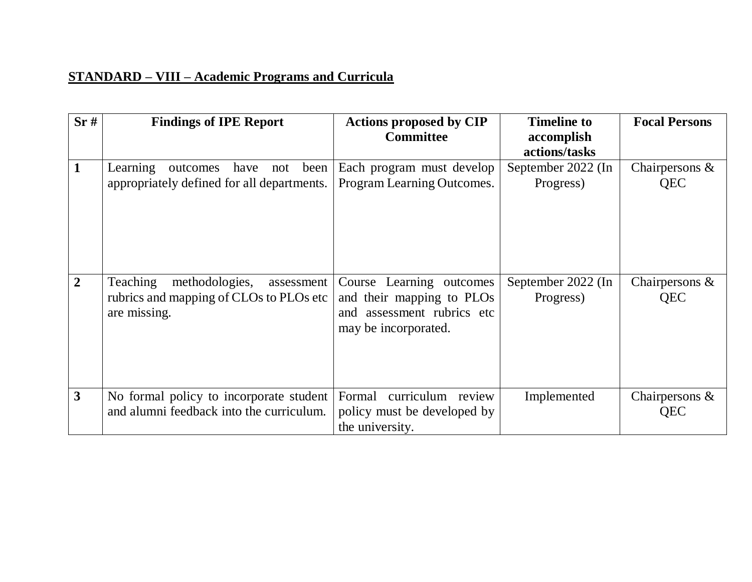# **STANDARD – VIII – Academic Programs and Curricula**

| Sr# | <b>Findings of IPE Report</b>                                                                              | <b>Actions proposed by CIP</b><br><b>Committee</b>                                                             | <b>Timeline to</b><br>accomplish<br>actions/tasks | <b>Focal Persons</b>            |
|-----|------------------------------------------------------------------------------------------------------------|----------------------------------------------------------------------------------------------------------------|---------------------------------------------------|---------------------------------|
|     | have<br>been<br>Learning<br>outcomes<br>not<br>appropriately defined for all departments.                  | Each program must develop<br>Program Learning Outcomes.                                                        | September 2022 (In<br>Progress)                   | Chairpersons $\&$<br>QEC        |
| 2   | <b>Teaching</b><br>methodologies,<br>assessment<br>rubrics and mapping of CLOs to PLOs etc<br>are missing. | Course Learning outcomes<br>and their mapping to PLOs<br>assessment rubrics etc<br>and<br>may be incorporated. | September 2022 (In<br>Progress)                   | Chairpersons $\&$<br><b>QEC</b> |
| 3   | No formal policy to incorporate student<br>and alumni feedback into the curriculum.                        | curriculum review<br>Formal<br>policy must be developed by<br>the university.                                  | Implemented                                       | Chairpersons $\&$<br>QEC        |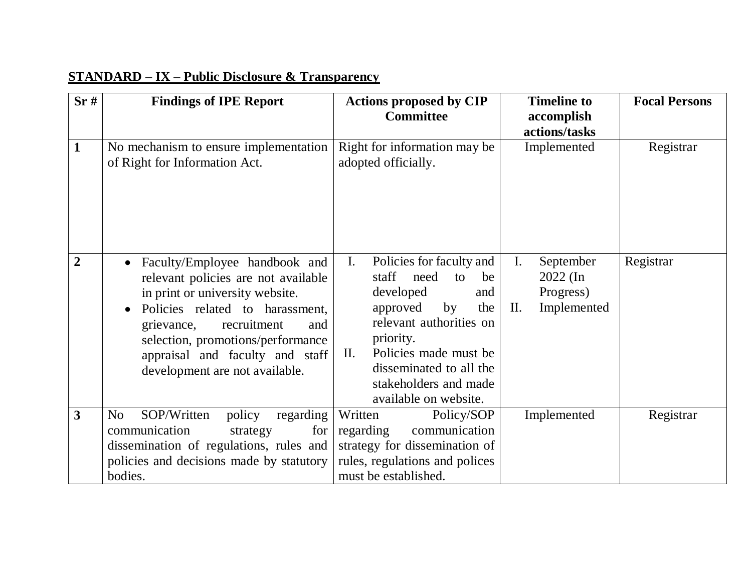| Sr#                     | <b>Findings of IPE Report</b>                                                                                                                                                                                                                                                            | <b>Actions proposed by CIP</b><br><b>Committee</b>                                                                                                                                                                                                                                 | <b>Timeline to</b><br>accomplish                                             | <b>Focal Persons</b> |
|-------------------------|------------------------------------------------------------------------------------------------------------------------------------------------------------------------------------------------------------------------------------------------------------------------------------------|------------------------------------------------------------------------------------------------------------------------------------------------------------------------------------------------------------------------------------------------------------------------------------|------------------------------------------------------------------------------|----------------------|
| $\mathbf{1}$            | No mechanism to ensure implementation<br>of Right for Information Act.                                                                                                                                                                                                                   | Right for information may be<br>adopted officially.                                                                                                                                                                                                                                | actions/tasks<br>Implemented                                                 | Registrar            |
| $\overline{2}$          | Faculty/Employee handbook and<br>relevant policies are not available<br>in print or university website.<br>Policies related to harassment,<br>recruitment<br>grievance,<br>and<br>selection, promotions/performance<br>appraisal and faculty and staff<br>development are not available. | Policies for faculty and<br>$\mathbf{I}$ .<br>staff need<br>to<br>be<br>developed<br>and<br>approved<br>by<br>the<br>relevant authorities on<br>priority.<br>Policies made must be<br>$\mathbf{II}$ .<br>disseminated to all the<br>stakeholders and made<br>available on website. | September<br>I.<br>$2022$ (In<br>Progress)<br>Implemented<br>$\mathbf{II}$ . | Registrar            |
| $\overline{\mathbf{3}}$ | SOP/Written<br>policy<br>regarding<br>No<br>communication<br>for<br>strategy<br>dissemination of regulations, rules and<br>policies and decisions made by statutory<br>bodies.                                                                                                           | Policy/SOP<br>Written<br>communication<br>regarding<br>strategy for dissemination of<br>rules, regulations and polices<br>must be established.                                                                                                                                     | Implemented                                                                  | Registrar            |

# **STANDARD – IX – Public Disclosure & Transparency**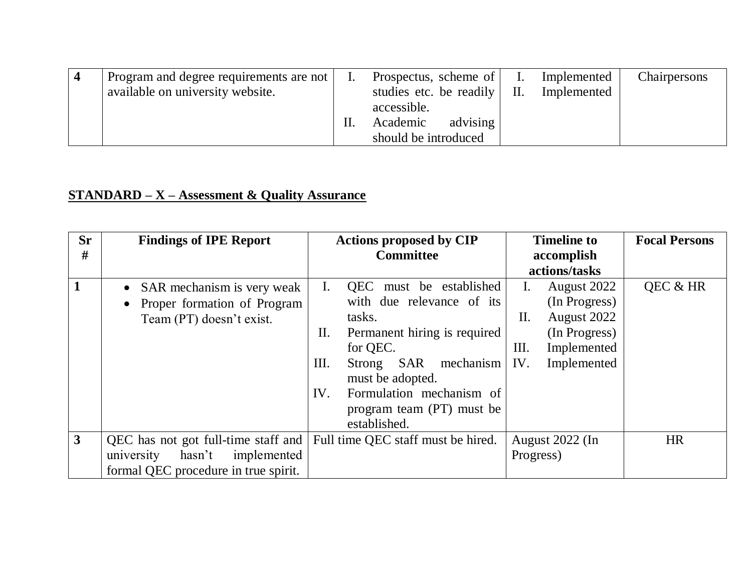| Program and degree requirements are not | Prospectus, scheme of         | Implemented | Chairpersons |
|-----------------------------------------|-------------------------------|-------------|--------------|
| available on university website.        | studies etc. be readily   II. | Implemented |              |
|                                         | accessible.                   |             |              |
|                                         | advising<br>Academic          |             |              |
|                                         | should be introduced          |             |              |

### **STANDARD – X – Assessment & Quality Assurance**

| <b>Sr</b><br># | <b>Findings of IPE Report</b>        | <b>Actions proposed by CIP</b><br><b>Committee</b> |           | <b>Timeline to</b><br>accomplish | <b>Focal Persons</b> |
|----------------|--------------------------------------|----------------------------------------------------|-----------|----------------------------------|----------------------|
|                |                                      |                                                    |           | actions/tasks                    |                      |
|                | • SAR mechanism is very weak         | QEC must be established<br>L.                      |           | August 2022<br>Ι.                | QEC & HR             |
|                | • Proper formation of Program        | with due relevance of its                          |           | (In Progress)                    |                      |
|                | Team (PT) doesn't exist.             | tasks.                                             |           | August 2022<br>П.                |                      |
|                |                                      | Permanent hiring is required<br>Π.                 |           | (In Progress)                    |                      |
|                |                                      | for QEC.                                           |           | Implemented<br>Ш.                |                      |
|                |                                      | Ш.<br>Strong SAR                                   | mechanism | IV.<br>Implemented               |                      |
|                |                                      | must be adopted.                                   |           |                                  |                      |
|                |                                      | Formulation mechanism of<br>IV.                    |           |                                  |                      |
|                |                                      | program team (PT) must be                          |           |                                  |                      |
|                |                                      | established.                                       |           |                                  |                      |
| 3              | QEC has not got full-time staff and  | Full time QEC staff must be hired.                 |           | August 2022 (In                  | <b>HR</b>            |
|                | hasn't<br>implemented<br>university  |                                                    |           | Progress)                        |                      |
|                | formal QEC procedure in true spirit. |                                                    |           |                                  |                      |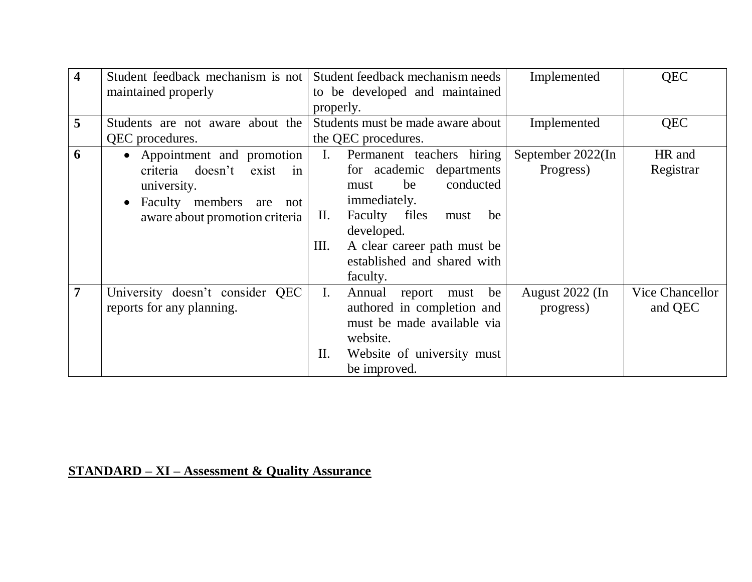| 4               | Student feedback mechanism is not                                                                                                                             | Student feedback mechanism needs<br>Implemented                                                                                                                                                                                                                                          | <b>QEC</b>                                           |
|-----------------|---------------------------------------------------------------------------------------------------------------------------------------------------------------|------------------------------------------------------------------------------------------------------------------------------------------------------------------------------------------------------------------------------------------------------------------------------------------|------------------------------------------------------|
|                 | maintained properly                                                                                                                                           | to be developed and maintained<br>properly.                                                                                                                                                                                                                                              |                                                      |
| $5\overline{)}$ | Students are not aware about the<br>QEC procedures.                                                                                                           | Students must be made aware about<br>Implemented<br>the QEC procedures.                                                                                                                                                                                                                  | <b>QEC</b>                                           |
| 6               | • Appointment and promotion<br>criteria doesn't<br>exist<br>in<br>university.<br>Faculty members<br>are<br>not<br>$\bullet$<br>aware about promotion criteria | Permanent teachers hiring<br>September 2022(In<br>I.<br>Progress)<br>for academic departments<br>conducted<br>be<br>must<br>immediately.<br>Faculty files<br>$\mathbf{II}$ .<br>be<br>must<br>developed.<br>Ш.<br>A clear career path must be<br>established and shared with<br>faculty. | HR and<br>Registrar                                  |
| 7               | University doesn't consider QEC<br>reports for any planning.                                                                                                  | I.<br>Annual report<br>be<br>must<br>authored in completion and<br>progress)<br>must be made available via<br>website.<br>Website of university must<br>П.<br>be improved.                                                                                                               | <b>Vice Chancellor</b><br>August 2022 (In<br>and QEC |

# **STANDARD – XI – Assessment & Quality Assurance**